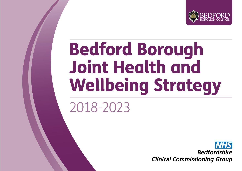

# **Bedford Borough Joint Health and Wellbeing Strategy**

# 2018-2023

**Bedfordshire Clinical Commissioning Group**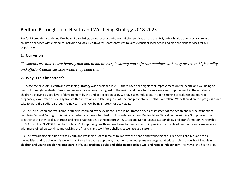# Bedford Borough Joint Health and Wellbeing Strategy 2018-2023

Bedford Borough's Health and Wellbeing Board brings together those who commission services across the NHS, public health, adult social care and children's services with elected councillors and local Healthwatch representatives to jointly consider local needs and plan the right services for our population.

#### **1. Our vision**

*"Residents are able to live healthy and independent lives, in strong and safe communities with easy access to high quality and efficient public services when they need them."*

### **2. Why is this important?**

2.1 Since the first Joint Health and Wellbeing Strategy was developed in 2013 there have been significant improvements in the health and wellbeing of Bedford Borough residents. Breastfeeding rates are among the highest in the region and there has been a sustained improvement in the number of children achieving a good level of development by the end of Reception year. We have seen reductions in adult smoking prevalence and teenage pregnancy, lower rates of sexually transmitted infections and late diagnosis of HIV, and preventable deaths have fallen. We will build on this progress as we take forward the Bedford Borough Joint Health and Wellbeing Strategy for 2017-2022.

2.2 The Joint Health and Wellbeing Strategy is informed by the evidence in the Joint Strategic Needs Assessment of the health and wellbeing needs of people in Bedford Borough. It is being refreshed at a time when Bedford Borough Council and Bedfordshire Clinical Commissioning Group have come together with other local authorities and NHS organisations as the Bedfordshire, Luton and Milton Keynes Sustainability and Transformation Partnership (BLMK STP). The BLMK STP has the 'triple aim' of improving health and wellbeing for our residents, improving the quality of our health and care services with more joined-up working, and tackling the financial and workforce challenges we face as a system.

2.3 The overarching ambition of the Health and Wellbeing Board remains to improve the health and wellbeing of our residents and reduce health inequalities, and to achieve this we will maintain a life course approach, that is ensuring our plans are targeted at critical points throughout life: **giving children and young people the best start in life**, and **enabling adults and older people to live well and remain independent**. However, the health of our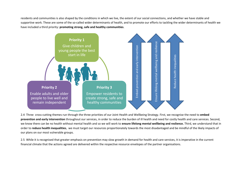residents and communities is also shaped by the conditions in which we live, the extent of our social connections, and whether we have stable and supportive work. These are some of the so-called wider determinants of health, and to promote our efforts to tackling the wider determinants of health we have included a third priority: **promoting strong, safe and healthy communities**.



2.4 Three cross-cutting themes run through the three priorities of our Joint Health and Wellbeing Strategy. First, we recognise the need to **embed prevention and early intervention** throughout our services, in order to reduce the burden of ill health and need for costly health and care services. Second, we know there can be no health without mental health and so we will work to **ensure lifelong mental wellbeing and reslience.** Third, we understand that in order to **reduce health inequalities**, we must target our resources proportionately towards the most disadantaged and be mindful of the likely impacts of our plans on our most vulnerable groups.

2.5 While it is recognised that greater emphasis on prevention may slow growth in demand for health and care services, it is imperative in the current financial climate that the actions agreed are delivered within the respective resource envelopes of the partner organisations.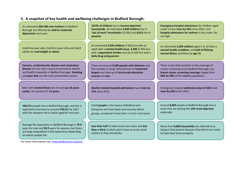# **3. A snapshot of key health and wellbeing challenges in Bedford Borough:**

| An estimated 200-300 new mothers in Bedford<br>Borough are affected by mild to moderate<br>depression each year.                                                                                          | 18.9% of children live in income-deprived<br>households. An estimated 4,860 children live in<br>'out of work' households (13.6%) and 6,015 live in<br>poverty.                           | <b>Emergency hospital admissions</b> for children aged<br>under 5 have risen by 56% since 2013, and<br>hospital admissions for asthma in the under 19s<br>are high.                       |
|-----------------------------------------------------------------------------------------------------------------------------------------------------------------------------------------------------------|------------------------------------------------------------------------------------------------------------------------------------------------------------------------------------------|-------------------------------------------------------------------------------------------------------------------------------------------------------------------------------------------|
| 1 in 5 five year olds, 1 in 3 ten year olds and 1 in 2<br>adults are overweight or obese.                                                                                                                 | An estimated 2,950 children (7.8%) live with an<br>adult with a mental health issue, 2,200 (5.9%) live<br>with a dependent drinker and up to 420 live with a<br>daily drug using parent. | An estimated 2,200 children aged 5 to 16 have a<br>mental health condition, and half of lifelong<br>mental illness manifests by age 15.                                                   |
| Cancers, cardiovascular disease and respiratory<br>disease are the main causes of premature deaths<br>and health inequality in Bedford Borough. Smoking<br>and poor diet are the main preventable causes. | There are around 9,300 people with diabetes and<br>this number is rising. Achievement of treatment<br>targets and take-up of structured education<br>courses are low.                    | There is two-fold variation in the coverage of<br>cancer screening across Bedford Borough, e.g.<br>breast cancer screening coverage ranges from<br>44% to 78% of the eligible population. |
| Men with mental illness die on average 16 years<br>earlier, for women it's 12 years.                                                                                                                      | Alcohol-related hospital admissions have risen by<br>15% since 2013.                                                                                                                     | Emergency hospital admissions due to falls have<br>risen by 24% since 2013.                                                                                                               |
| 168,751 people live in Bedford Borough, and this is<br>expected to increase to around 178,511 by 2021<br>with the steepest rise in adults aged 65 and over.                                               | 1 in 3 people in the towns of Bedford and<br>Kempston are from black and minority ethnic<br>groups, compared to less than 1 in 8 in rural areas.                                         | Around 8,865 people in Bedford Borough live in<br>areas that are among the 10% most deprived<br>nationally.                                                                               |
| Average life expectancy in Bedford Borough is 79.9<br>years for men and 83.5 years for women, but there<br>are large inequalities in life expectancy depending<br>on where people live.                   | Less than half of adult social care users and less<br>than a third of adult carers have as much social<br>contact as they would like.                                                    | More than 6,000 households are referred to as<br>being in fuel poverty because they find it too costly<br>to heat their home properly.                                                    |
| For more information see: www.bedford.gov.uk/jsna                                                                                                                                                         |                                                                                                                                                                                          |                                                                                                                                                                                           |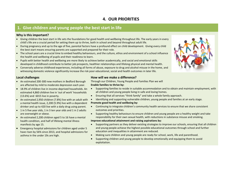# **4. OUR PRIORITIES**

# **1. Give children and young people the best start in life**

#### **Why is this important?**

- Giving children the best start in life sets the foundations for good health and wellbeing throughout life. The early years in every child's life are a crucial period for setting them up to thrive, both in school and beyond throughout adult life.
- During pregnancy and up to the age of five, parental factors have a profound effect on child development. Giving every child the best start means ensuring parents are supported and prepared for their role.
- The school years are a crucial time to embed healthy behaviours, and the culture, ethos and environment of a school influence the health and wellbeing of pupils and their readiness to learn.
- Pupils with better health and wellbeing are more likely to achieve better academically, and social and emotional skills developed in childhood contribute to better job prospects, healthier relationships and lifelong physical and mental health.
- Conversely adverse childhood experiences, including all forms of abuse, exposure to drug and alcohol misuse in the home, and witnessing domestic violence significantly increase the risk poor educational, social and health outcomes in later life.

#### **Local challenges**

- An estimated 200-300 new mothers in Bedford Borough are affected by mild to moderate depression each year.
- 18.9% of children live in income-deprived households. An estimated 4,860 children live in 'out of work' households (13.6%) and 6015 live in poverty.
- An estimated 2,950 children (7.8%) live with an adult with a mental health issue, 2,200 (5.9%) live with a dependent drinker and up to 420 live with a daily drug using parent.
- 1 in 5 five year olds, 1 in 3 ten year olds and 1 in 2 adults are overweight or obese.
- An estimated 2,200 children aged 5 to 16 have a mental health condition, and half of lifelong mental illness manifests by age 15.
- Emergency hospital admissions for children aged under 5 have risen by 56% since 2013, and hospital admissions for asthma in the under 19s are high.

#### **How will we make a difference?**

Through our Children, Young People and Families Plan we will **Enable families to thrive by:**

- Supporting families to reside in suitable accommodation and to obtain and maintain employment, with all children and young people living in safe and loving homes.
- Ensuring that all services "think family" and take a whole family approach.
- Identifying and supporting vulnerable children, young people and families at an early stage.

#### **Promote good health and wellbeing by:**

- Continuing to integrate children's community health services to ensure that we share consistent outcomes and priorities.
- Supporting healthy behaviours to ensure children and young people are a healthy weight and take responsibility for their own sexual health, with reductions in substance misuse and smoking.

#### **Improve educational attainment and raising aspirations by:**

- Supporting partners as they deliver existing strategies to improve our schools, ensuring that all children and young people achieve the highest possible educational outcomes through school and further education and inequalities in attainment are reduced.
- Making sure children and young people are ready for school, work, life and parenthood.
- Supporting children and young people to develop emotionally and equipping them to avoid exploitation.

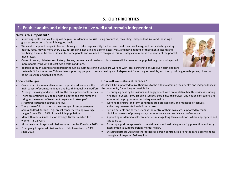# **5. OUR PRIORITIES**

# **2. Enable adults and older people to live well and remain independent**

#### **Why is this important?**

- Improving health and wellbeing will help our residents to flourish: living productive, rewarding, independent lives and spending a greater proportion of their life in good health.
- We want to support people in Bedford Borough to take responsibility for their own health and wellbeing, and particularly by eating healthy food, moving more every day, not smoking, not drinking alcohol excessively, and being mindful of their mental health and wellbeing. This can be more difficult for some people and we need to recognise this in strategies to improve the health of the poorest much faster.
- Cases of cancer, diabetes, respiratory disease, dementia and cardiovascular disease will increase as the population grows and ages, with more people living with at least two health conditions.
- Bedford Borough Council and Bedfordshire Clinical Commissioning Group are working with local partners to ensure our health and care system is fit for the future. This involves supporting people to remain healthy and independent for as long as possible, and then providing joined-up care, closer to home is available when it's needed.

#### **Local challenges**

- Cancers, cardiovascular disease and respiratory disease are the main causes of premature deaths and health inequality in Bedford Borough. Smoking and poor diet are the main preventable causes.  $\bullet$
- There are around 9,300 people with diabetes and this number is rising. Achievement of treatment targets and take-up of structured education courses are low.
- There is two-fold variation in the coverage of cancer screening across Bedford Borough, e.g. breast cancer screening coverage ranges from 44% to 78% of the eligible population.
- Men with mental illness die on average 16 years earlier, for women it's 12 years.
- Alcohol-related hospital admissions have risen by 15% since 2013.  $\bullet$
- Emergency hospital admissions due to falls have risen by 24% since 2013.

#### **How will we make a difference?**

Adults will be supported to live their lives to the full, maintaining their health and independence in the community for as long as possible by:

- Encouraging healthy behaviours and engagement with preventative health services including NHS Health Checks, Stop Smoking services, sexual health services, and national screening and immunisation programmes, including seasonal flu.
- Working to ensure long term conditions are detected early and managed effectively, addressing unwarranted variations in care.
- Putting patients and service users at the centre of their own care, supported by multidisciplinary teams of primary care, community care and social care professionals.
- Supporting residents to self-care and self-manage long term conditions where appropriate and safe to do so.
- Fostering a positive approach to mental health and wellbeing, ensuring prevention and early intervention to support lifelong mental health.
- Ensuring partners work together to deliver person-centred, co-ordinated care closer to home through an Integrated Delivery Plan.

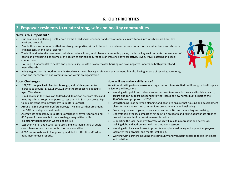# **6. OUR PRIORITIES**

# **3. Empower residents to create strong, safe and healthy communities**

#### **Why is this important?**

- Our health and wellbeing is influenced by the broad social, economic and environmental circumstances into which we are born, live, work and grow old.
- People thrive in communities that are strong, supportive, vibrant places to live, where they are not anxious about violence and abuse or criminal activity and social disorder.
- The built and natural environment, which includes schools, workplaces, communities, parks, roads is a key environmental determinant of health and wellbeing. For example, the design of our neighbourhoods can influence physical activity levels, travel patterns and social connectivity.
- Housing is fundamental to health and poor quality, unsafe or overcrowded housing can have negative impacts on both physical and mental health.
- Being in good work is good for health. Good work means having a safe work environment, but also having a sense of security, autonomy, good line management and communication within an organisation.

#### **Local Challenges**

- 168,751 people live in Bedford Borough, and this is expected to increase to around 178,511 by 2021 with the steepest rise in adults aged 65 and over.
- 1 in 3 people in the towns of Bedford and Kempston are from black and minority ethnic groups, compared to less than 1 in 8 in rural areas. Up to 100 different ethnic groups live in Bedford Borough.
- Around 8,865 people in Bedford Borough live in areas that are among the 10% most deprived nationally.
- Average life expectancy in Bedford Borough is 79.9 years for men and 83.5 years for women, but there are large inequalities in life expectancy depending on where people live.
- Less than half of adult social care users and less than a third of adult carers have as much social contact as they would like.
- 6,000 households are in fuel poverty, and find it difficult to afford to heat their homes properly.

#### **How will we make a difference?**

We will work with partners across local organisations to make Bedford Borough a healthy place to live. We will focus on:

- Working with public and private sector partners to ensure homes are affordable, warm, secure and can support independent living; including new homes built as part of the 19,000 houses proposed by 2035.
- Strengthening links between planning and health to ensure that housing and development plans for new and existing communities promote health and wellbeing.
- Promoting the use of green, open spaces and activities such as cycling and walking.
- Understanding the local impact of air pollution on health and taking appropriate steps to protect the health of our most vulnerable residents.
- Supporting the local economy to grow which will result in more jobs and better jobs, tackling debt and addressing health-related worklessness.
- Working with local employers to promote workplace wellbeing and support employees to look after their physical and mental wellbeing.
- Working with partners including the community and voluntary sector to tackle loneliness and isolation.

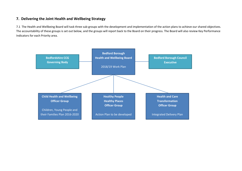## **7. Delivering the Joint Health and Wellbeing Strategy**

7.1 The Health and Wellbeing Board will task three sub-groups with the development and implementation of the action plans to achieve our shared objectives. The accountability of these groups is set out below, and the groups will report back to the Board on their progress. The Board will also review Key Performance Indicators for each Priority area.

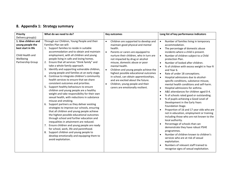# **8. Appendix 1: Strategy summary**

| Priority                                                                                                             | What do we need to do?                                                                                                                                                                                                                                                                                                                                                                                                                                                                                                                                                                                                                                                                                                                                                                                                                                                                                                                                                                                                                                                                                                                                                                                                                                                             | <b>Key outcomes</b>                                                                                                                                                                                                                                                                                                                                                                                                                                                                                                                                        | Long list of key performance indicators                                                                                                                                                                                                                                                                                                                                                                                                                                                                                                                                                                                                                                                                                                                                                                                                                                                                                                                                                                                                                                                                                                                                                                                                                                               |
|----------------------------------------------------------------------------------------------------------------------|------------------------------------------------------------------------------------------------------------------------------------------------------------------------------------------------------------------------------------------------------------------------------------------------------------------------------------------------------------------------------------------------------------------------------------------------------------------------------------------------------------------------------------------------------------------------------------------------------------------------------------------------------------------------------------------------------------------------------------------------------------------------------------------------------------------------------------------------------------------------------------------------------------------------------------------------------------------------------------------------------------------------------------------------------------------------------------------------------------------------------------------------------------------------------------------------------------------------------------------------------------------------------------|------------------------------------------------------------------------------------------------------------------------------------------------------------------------------------------------------------------------------------------------------------------------------------------------------------------------------------------------------------------------------------------------------------------------------------------------------------------------------------------------------------------------------------------------------------|---------------------------------------------------------------------------------------------------------------------------------------------------------------------------------------------------------------------------------------------------------------------------------------------------------------------------------------------------------------------------------------------------------------------------------------------------------------------------------------------------------------------------------------------------------------------------------------------------------------------------------------------------------------------------------------------------------------------------------------------------------------------------------------------------------------------------------------------------------------------------------------------------------------------------------------------------------------------------------------------------------------------------------------------------------------------------------------------------------------------------------------------------------------------------------------------------------------------------------------------------------------------------------------|
| Delivery group(s)                                                                                                    |                                                                                                                                                                                                                                                                                                                                                                                                                                                                                                                                                                                                                                                                                                                                                                                                                                                                                                                                                                                                                                                                                                                                                                                                                                                                                    |                                                                                                                                                                                                                                                                                                                                                                                                                                                                                                                                                            |                                                                                                                                                                                                                                                                                                                                                                                                                                                                                                                                                                                                                                                                                                                                                                                                                                                                                                                                                                                                                                                                                                                                                                                                                                                                                       |
| 1. Give children and<br>young people the<br>best start in life<br>Child Health and<br>Wellbeing<br>Partnership Group | Through our Children, Young People and their<br>Families Plan we will:<br>1. Support families to reside in suitable<br>accommodation and to obtain and maintain<br>employment, with all children and young<br>people living in safe and loving homes.<br>Ensure that all services "think family" and<br>take a whole family approach.<br>Identify and supporting vulnerable children,<br>young people and families at an early stage.<br>4. Continue to integrate children's community<br>health services to ensure that we share<br>consistent outcomes and priorities.<br>Support healthy behaviours to ensure<br>5.<br>children and young people are a healthy<br>weight and take responsibility for their own<br>sexual health, with reductions in substance<br>misuse and smoking.<br>Support partners as they deliver existing<br>strategies to improve our schools, ensuring<br>that all children and young people achieve<br>the highest possible educational outcomes<br>through school and further education and<br>inequalities in attainment are reduced.<br>Ensure children and young people are ready<br>7.<br>for school, work, life and parenthood.<br>8. Support children and young people to<br>develop emotionally and equipping them to<br>avoid exploitation. | Children are supported to develop and<br>$\bullet$<br>maintain good physical and mental<br>health.<br>Parents or carers are equipped to<br>$\bullet$<br>nurture their children, who in turn are<br>not impacted by drug or alcohol<br>misuse, domestic abuse or poor<br>mental health.<br>$\bullet$<br>Children and young people achieve the<br>highest possible educational outcomes<br>in school, can obtain apprenticeships,<br>and are excited about the future.<br>Children, young people and their<br>$\bullet$<br>carers are emotionally resilient. | Number of families living in temporary<br>$\bullet$<br>accommodation.<br>The percentage of domestic abuse<br>$\bullet$<br>incidents where a child is present.<br>Number of children subject to a Child<br>$\bullet$<br>protection Plan.<br>Number of looked after children.<br>$\bullet$<br>% of children with excess weight in Year R<br>$\bullet$<br>and Year 6.<br>Rate of under 18 conceptions.<br>$\bullet$<br>Hospital admissions due to alcohol-<br>$\bullet$<br>specific conditions, substance misuse,<br>mental health conditions and self-harm.<br>Hospital admissions for asthma.<br>$\bullet$<br>A&E attendances for children aged 0-4.<br>$\bullet$<br>% of schools rated good or outstanding.<br>$\bullet$<br>% of pupils achieving a Good Level of<br>Development in the Early Years<br>Foundation Stage.<br>Proportion of 16 and 17 year olds who are<br>$\bullet$<br>not in education, employment or training<br>including those who are not known to the<br>local authority.<br>Percentage of schools that can<br>$\bullet$<br>demonstrate they have robust PSHE<br>programmes.<br>Number of children known to children's<br>services who are at risk of sexual<br>exploitation.<br>Numbers of relevant staff trained to<br>recognise signs of sexual exploitation. |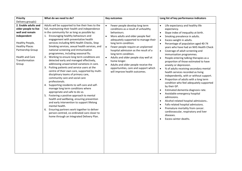| <b>Priority</b>                                                                                                                                                                                      | What do we need to do?                                                                                                                                                                                                                                                                                                                                                                                                                                                                                                                                                                                                                                                                                                                                                                                                                                                                                                                                                                                                                                                                                                                                                                              | <b>Key outcomes</b>                                                                                                                                                                                                                                                                                                                                                                                                                                                                                                          | Long list of key performance indicators                                                                                                                                                                                                                                                                                                                                                                                                                                                                                                                                                                                                                                                                                                                                                                                                                                                                                                                                                                                                      |
|------------------------------------------------------------------------------------------------------------------------------------------------------------------------------------------------------|-----------------------------------------------------------------------------------------------------------------------------------------------------------------------------------------------------------------------------------------------------------------------------------------------------------------------------------------------------------------------------------------------------------------------------------------------------------------------------------------------------------------------------------------------------------------------------------------------------------------------------------------------------------------------------------------------------------------------------------------------------------------------------------------------------------------------------------------------------------------------------------------------------------------------------------------------------------------------------------------------------------------------------------------------------------------------------------------------------------------------------------------------------------------------------------------------------|------------------------------------------------------------------------------------------------------------------------------------------------------------------------------------------------------------------------------------------------------------------------------------------------------------------------------------------------------------------------------------------------------------------------------------------------------------------------------------------------------------------------------|----------------------------------------------------------------------------------------------------------------------------------------------------------------------------------------------------------------------------------------------------------------------------------------------------------------------------------------------------------------------------------------------------------------------------------------------------------------------------------------------------------------------------------------------------------------------------------------------------------------------------------------------------------------------------------------------------------------------------------------------------------------------------------------------------------------------------------------------------------------------------------------------------------------------------------------------------------------------------------------------------------------------------------------------|
| Delivery group(s)                                                                                                                                                                                    |                                                                                                                                                                                                                                                                                                                                                                                                                                                                                                                                                                                                                                                                                                                                                                                                                                                                                                                                                                                                                                                                                                                                                                                                     |                                                                                                                                                                                                                                                                                                                                                                                                                                                                                                                              |                                                                                                                                                                                                                                                                                                                                                                                                                                                                                                                                                                                                                                                                                                                                                                                                                                                                                                                                                                                                                                              |
| 2. Enable adults and<br>older people to live<br>well and remain<br>independent<br>Healthy People,<br><b>Healthy Places</b><br>Partnership Group<br><b>Health and Care</b><br>Transformation<br>Group | Adults will be supported to live their lives to the<br>full, maintaining their health and independence<br>in the community for as long as possible by:<br>1. Encouraging healthy behaviours and<br>engagement with preventative health<br>services including NHS Health Checks, Stop<br>Smoking services, sexual health services, and<br>national screening and immunisation<br>programmes, including seasonal flu.<br>Working to ensure long term conditions are<br>2.<br>detected early and managed effectively,<br>addressing unwarranted variations in care.<br>3.<br>Putting patients and service users at the<br>centre of their own care, supported by multi-<br>disciplinary teams of primary care,<br>community care and social care<br>professionals.<br>4. Supporting residents to self-care and self-<br>manage long term conditions where<br>appropriate and safe to do so.<br>5. Fostering a positive approach to mental<br>health and wellbeing, ensuring prevention<br>and early intervention to support lifelong<br>mental health.<br>Ensuring partners work together to deliver<br>6.<br>person-centred, co-ordinated care closer to<br>home through an Integrated Delivery Plan. | Fewer people develop long term<br>conditions as a result of unhealthy<br>behaviours.<br>More adults and older people feel<br>$\bullet$<br>adequately supported to manage their<br>long term condition.<br>Fewer people require an unplanned<br>$\bullet$<br>hospital admission as the result of a<br>long term condition.<br>Adults and older people stay well at<br>$\bullet$<br>home longer.<br>Adults and older people receive the<br>$\bullet$<br>opportunities, care and support which<br>will improve health outcomes. | Life expectancy and healthy life<br>expectancy.<br>Slope index of inequality at birth.<br>$\bullet$<br>Smoking prevalence in adults.<br>$\bullet$<br>Excess weight in adults.<br>$\bullet$<br>Percentage of population aged 40-74<br>$\bullet$<br>years who have had an NHS Health Check<br>Coverage of adult screening and<br>$\bullet$<br>immunisation programmes.<br>People entering talking therapies as a<br>$\bullet$<br>proportion of those estimated to have<br>anxiety or depression.<br>% of adults receiving secondary mental<br>$\bullet$<br>health services recorded as living<br>independently, with or without support.<br>Proportion of adults with a long term<br>$\bullet$<br>condition who feel adequately supported<br>by their GP.<br>Estimated dementia diagnosis rate.<br>Avoidable emergency hospital<br>admissions.<br>Alcohol-related hospital admissions<br>Falls-related hospital admissions.<br>Premature mortality from cancer.<br>cardiovascular, respiratory and liver<br>diseases.<br>Excess winter deaths. |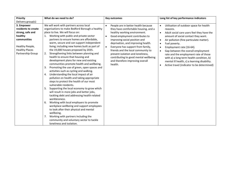| Priority                                                                                                                                         | What do we need to do?                                                                                                                                                                                                                                                                                                                                                                                                                                                                                                                                                                                                                                                                                                                                                                                                                                                                                                                                                                                                                                                                                                                                                                                                                                     | <b>Key outcomes</b>                                                                                                                                                                                                                                                                                                                                                                                                                      | Long list of key performance indicators                                                                                                                                                                                                                                                                                                                                                                                                                                                                                                               |
|--------------------------------------------------------------------------------------------------------------------------------------------------|------------------------------------------------------------------------------------------------------------------------------------------------------------------------------------------------------------------------------------------------------------------------------------------------------------------------------------------------------------------------------------------------------------------------------------------------------------------------------------------------------------------------------------------------------------------------------------------------------------------------------------------------------------------------------------------------------------------------------------------------------------------------------------------------------------------------------------------------------------------------------------------------------------------------------------------------------------------------------------------------------------------------------------------------------------------------------------------------------------------------------------------------------------------------------------------------------------------------------------------------------------|------------------------------------------------------------------------------------------------------------------------------------------------------------------------------------------------------------------------------------------------------------------------------------------------------------------------------------------------------------------------------------------------------------------------------------------|-------------------------------------------------------------------------------------------------------------------------------------------------------------------------------------------------------------------------------------------------------------------------------------------------------------------------------------------------------------------------------------------------------------------------------------------------------------------------------------------------------------------------------------------------------|
| Delivery group(s)                                                                                                                                |                                                                                                                                                                                                                                                                                                                                                                                                                                                                                                                                                                                                                                                                                                                                                                                                                                                                                                                                                                                                                                                                                                                                                                                                                                                            |                                                                                                                                                                                                                                                                                                                                                                                                                                          |                                                                                                                                                                                                                                                                                                                                                                                                                                                                                                                                                       |
| 3. Empower<br>residents to create<br>strong, safe and<br>healthy<br>communities<br>Healthy People,<br><b>Healthy Places</b><br>Partnership Group | We will work with partners across local<br>organisations to make Bedford Borough a healthy<br>place to live. We will focus on:<br>Working with public and private sector<br>1.<br>partners to ensure homes are affordable,<br>warm, secure and can support independent<br>living; including new homes built as part of<br>the 19,000 houses proposed by 2035.<br>Strengthening links between planning and<br>2.<br>health to ensure that housing and<br>development plans for new and existing<br>communities promote health and wellbeing.<br>Promoting the use of green, open spaces and<br>3.<br>activities such as cycling and walking.<br>Understanding the local impact of air<br>4.<br>pollution on health and taking appropriate<br>steps to protect the health of our most<br>vulnerable residents.<br>Supporting the local economy to grow which<br>5.<br>will result in more jobs and better jobs,<br>tackling debt and addressing health-related<br>worklessness.<br>Working with local employers to promote<br>6.<br>workplace wellbeing and support employees<br>to look after their physical and mental<br>wellbeing.<br>Working with partners including the<br>7.<br>community and voluntary sector to tackle<br>loneliness and isolation. | People are in better health because<br>$\bullet$<br>they have comfortable housing, and a<br>healthy working environment.<br>Good employment contributes to<br>improving social position and<br>deprivation, and improving health.<br>Everyone has support from family,<br>friends and the local community to<br>prevent isolation and loneliness,<br>contributing to good mental wellbeing<br>and therefore improving overall<br>health. | Utilisation of outdoor space for health<br>$\bullet$<br>reasons.<br>Adult social care users feel they have the<br>$\bullet$<br>amount of social contact they want.<br>Air pollution (fine particulate matter).<br>$\bullet$<br>Fuel poverty.<br>$\bullet$<br>Employment rate (16-64).<br>$\bullet$<br>Gap between the overall employment<br>$\bullet$<br>rate and the employment rate of those<br>with a) a long term health condition, b)<br>mental ill health, c) a learning disability.<br>Active travel (indicator to be determined)<br>$\bullet$ |